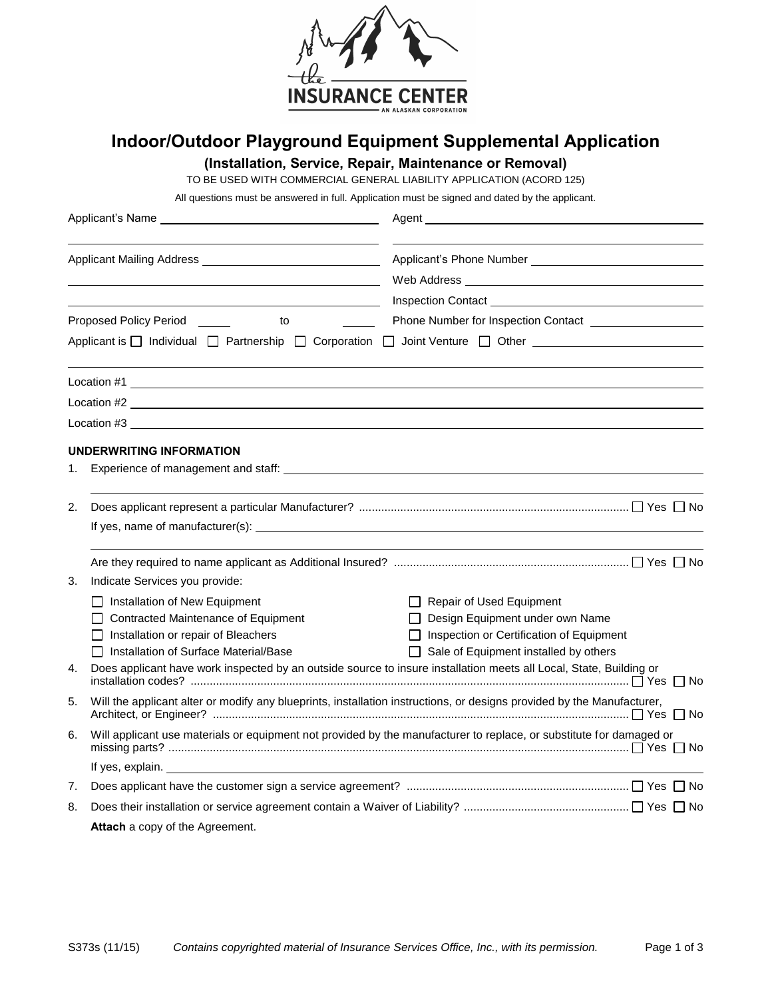

## **Indoor/Outdoor Playground Equipment Supplemental Application**

**(Installation, Service, Repair, Maintenance or Removal)** 

TO BE USED WITH COMMERCIAL GENERAL LIABILITY APPLICATION (ACORD 125)

All questions must be answered in full. Application must be signed and dated by the applicant.

| <u> 1989 - Johann Stoff, deutscher Stoff, der Stoff, der Stoff, der Stoff, der Stoff, der Stoff, der Stoff, der S</u> |                                                                                                                                                                                                                                |                                                                               |  |  |
|-----------------------------------------------------------------------------------------------------------------------|--------------------------------------------------------------------------------------------------------------------------------------------------------------------------------------------------------------------------------|-------------------------------------------------------------------------------|--|--|
|                                                                                                                       |                                                                                                                                                                                                                                |                                                                               |  |  |
|                                                                                                                       |                                                                                                                                                                                                                                |                                                                               |  |  |
| Proposed Policy Period <u>_______</u><br>to                                                                           |                                                                                                                                                                                                                                | $\overline{\phantom{a}}$                                                      |  |  |
|                                                                                                                       |                                                                                                                                                                                                                                | Applicant is □ Individual □ Partnership □ Corporation □ Joint Venture □ Other |  |  |
|                                                                                                                       |                                                                                                                                                                                                                                |                                                                               |  |  |
|                                                                                                                       | Location #2                                                                                                                                                                                                                    |                                                                               |  |  |
|                                                                                                                       | Location #3                                                                                                                                                                                                                    |                                                                               |  |  |
|                                                                                                                       | UNDERWRITING INFORMATION                                                                                                                                                                                                       |                                                                               |  |  |
| 1.                                                                                                                    |                                                                                                                                                                                                                                |                                                                               |  |  |
| 2.                                                                                                                    | If yes, name of manufacturer(s): example and the set of the set of the set of the set of the set of the set of the set of the set of the set of the set of the set of the set of the set of the set of the set of the set of t |                                                                               |  |  |
|                                                                                                                       |                                                                                                                                                                                                                                |                                                                               |  |  |
| 3.                                                                                                                    | Indicate Services you provide:                                                                                                                                                                                                 |                                                                               |  |  |
|                                                                                                                       | □ Installation of New Equipment                                                                                                                                                                                                | Repair of Used Equipment                                                      |  |  |
|                                                                                                                       | □ Contracted Maintenance of Equipment                                                                                                                                                                                          | □ Design Equipment under own Name                                             |  |  |
|                                                                                                                       | $\Box$ Installation or repair of Bleachers                                                                                                                                                                                     | □ Inspection or Certification of Equipment                                    |  |  |
|                                                                                                                       | □ Installation of Surface Material/Base                                                                                                                                                                                        | $\Box$ Sale of Equipment installed by others                                  |  |  |
| 4.                                                                                                                    | Does applicant have work inspected by an outside source to insure installation meets all Local, State, Building or                                                                                                             |                                                                               |  |  |
| 5.                                                                                                                    | Will the applicant alter or modify any blueprints, installation instructions, or designs provided by the Manufacturer,                                                                                                         |                                                                               |  |  |
| 6.                                                                                                                    | Will applicant use materials or equipment not provided by the manufacturer to replace, or substitute for damaged or                                                                                                            |                                                                               |  |  |
|                                                                                                                       |                                                                                                                                                                                                                                |                                                                               |  |  |
| 7.                                                                                                                    |                                                                                                                                                                                                                                |                                                                               |  |  |
| 8.                                                                                                                    |                                                                                                                                                                                                                                |                                                                               |  |  |
|                                                                                                                       | Attach a copy of the Agreement.                                                                                                                                                                                                |                                                                               |  |  |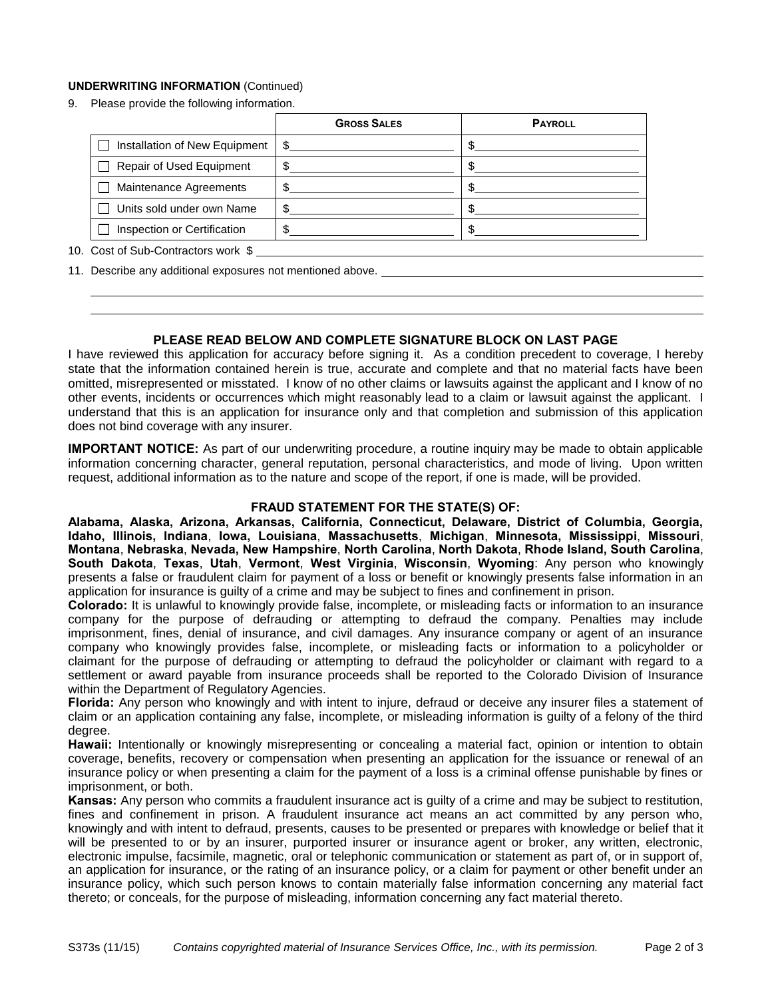## **UNDERWRITING INFORMATION** (Continued)

9. Please provide the following information.

|                                                   | <b>GROSS SALES</b> | <b>PAYROLL</b> |  |  |
|---------------------------------------------------|--------------------|----------------|--|--|
| Installation of New Equipment                     |                    |                |  |  |
| <b>Repair of Used Equipment</b><br>$\blacksquare$ |                    |                |  |  |
| Maintenance Agreements                            |                    |                |  |  |
| Units sold under own Name                         |                    |                |  |  |
| Inspection or Certification                       |                    |                |  |  |
| 10. Cost of Sub-Contractors work \$               |                    |                |  |  |

11. Describe any additional exposures not mentioned above.

## **PLEASE READ BELOW AND COMPLETE SIGNATURE BLOCK ON LAST PAGE**

I have reviewed this application for accuracy before signing it. As a condition precedent to coverage, I hereby state that the information contained herein is true, accurate and complete and that no material facts have been omitted, misrepresented or misstated. I know of no other claims or lawsuits against the applicant and I know of no other events, incidents or occurrences which might reasonably lead to a claim or lawsuit against the applicant. I understand that this is an application for insurance only and that completion and submission of this application does not bind coverage with any insurer.

**IMPORTANT NOTICE:** As part of our underwriting procedure, a routine inquiry may be made to obtain applicable information concerning character, general reputation, personal characteristics, and mode of living. Upon written request, additional information as to the nature and scope of the report, if one is made, will be provided.

## **FRAUD STATEMENT FOR THE STATE(S) OF:**

**Alabama, Alaska, Arizona, Arkansas, California, Connecticut, Delaware, District of Columbia, Georgia, Idaho, Illinois, Indiana**, **Iowa, Louisiana**, **Massachusetts**, **Michigan**, **Minnesota, Mississippi**, **Missouri**, **Montana**, **Nebraska**, **Nevada, New Hampshire**, **North Carolina**, **North Dakota**, **Rhode Island, South Carolina**, **South Dakota**, **Texas**, **Utah**, **Vermont**, **West Virginia**, **Wisconsin**, **Wyoming**: Any person who knowingly presents a false or fraudulent claim for payment of a loss or benefit or knowingly presents false information in an application for insurance is guilty of a crime and may be subject to fines and confinement in prison.

**Colorado:** It is unlawful to knowingly provide false, incomplete, or misleading facts or information to an insurance company for the purpose of defrauding or attempting to defraud the company. Penalties may include imprisonment, fines, denial of insurance, and civil damages. Any insurance company or agent of an insurance company who knowingly provides false, incomplete, or misleading facts or information to a policyholder or claimant for the purpose of defrauding or attempting to defraud the policyholder or claimant with regard to a settlement or award payable from insurance proceeds shall be reported to the Colorado Division of Insurance within the Department of Regulatory Agencies.

**Florida:** Any person who knowingly and with intent to injure, defraud or deceive any insurer files a statement of claim or an application containing any false, incomplete, or misleading information is guilty of a felony of the third degree.

**Hawaii:** Intentionally or knowingly misrepresenting or concealing a material fact, opinion or intention to obtain coverage, benefits, recovery or compensation when presenting an application for the issuance or renewal of an insurance policy or when presenting a claim for the payment of a loss is a criminal offense punishable by fines or imprisonment, or both.

**Kansas:** Any person who commits a fraudulent insurance act is guilty of a crime and may be subject to restitution, fines and confinement in prison. A fraudulent insurance act means an act committed by any person who, knowingly and with intent to defraud, presents, causes to be presented or prepares with knowledge or belief that it will be presented to or by an insurer, purported insurer or insurance agent or broker, any written, electronic, electronic impulse, facsimile, magnetic, oral or telephonic communication or statement as part of, or in support of, an application for insurance, or the rating of an insurance policy, or a claim for payment or other benefit under an insurance policy, which such person knows to contain materially false information concerning any material fact thereto; or conceals, for the purpose of misleading, information concerning any fact material thereto.